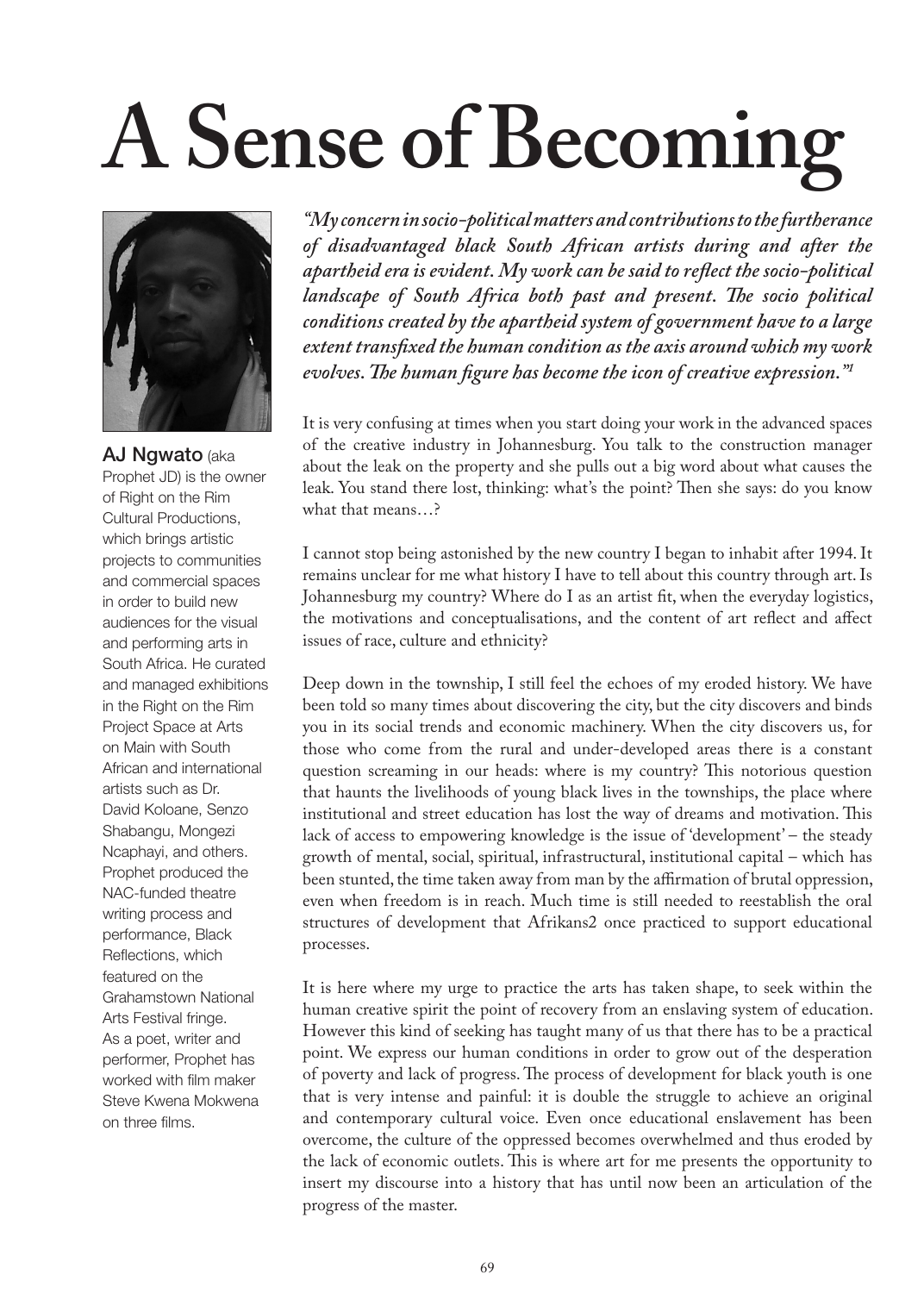## **A Sense of Becoming**



AJ Ngwato (aka Prophet JD) is the owner of Right on the Rim Cultural Productions, which brings artistic projects to communities and commercial spaces in order to build new audiences for the visual and performing arts in South Africa. He curated and managed exhibitions in the Right on the Rim Project Space at Arts on Main with South African and international artists such as Dr. David Koloane, Senzo Shabangu, Mongezi Ncaphayi, and others. Prophet produced the NAC-funded theatre writing process and performance, Black Reflections, which featured on the Grahamstown National Arts Festival fringe. As a poet, writer and performer, Prophet has worked with film maker Steve Kwena Mokwena on three films.

*"My concern in socio-political matters and contributions to the furtherance of disadvantaged black South African artists during and after the apartheid era is evident. My work can be said to reflect the socio-political landscape of South Africa both past and present. The socio political conditions created by the apartheid system of government have to a large extent transfixed the human condition as the axis around which my work evolves. The human figure has become the icon of creative expression."1* 

It is very confusing at times when you start doing your work in the advanced spaces of the creative industry in Johannesburg. You talk to the construction manager about the leak on the property and she pulls out a big word about what causes the leak. You stand there lost, thinking: what's the point? Then she says: do you know what that means…?

I cannot stop being astonished by the new country I began to inhabit after 1994. It remains unclear for me what history I have to tell about this country through art. Is Johannesburg my country? Where do I as an artist fit, when the everyday logistics, the motivations and conceptualisations, and the content of art reflect and affect issues of race, culture and ethnicity?

Deep down in the township, I still feel the echoes of my eroded history. We have been told so many times about discovering the city, but the city discovers and binds you in its social trends and economic machinery. When the city discovers us, for those who come from the rural and under-developed areas there is a constant question screaming in our heads: where is my country? This notorious question that haunts the livelihoods of young black lives in the townships, the place where institutional and street education has lost the way of dreams and motivation. This lack of access to empowering knowledge is the issue of 'development' – the steady growth of mental, social, spiritual, infrastructural, institutional capital – which has been stunted, the time taken away from man by the affirmation of brutal oppression, even when freedom is in reach. Much time is still needed to reestablish the oral structures of development that Afrikans2 once practiced to support educational processes.

It is here where my urge to practice the arts has taken shape, to seek within the human creative spirit the point of recovery from an enslaving system of education. However this kind of seeking has taught many of us that there has to be a practical point. We express our human conditions in order to grow out of the desperation of poverty and lack of progress. The process of development for black youth is one that is very intense and painful: it is double the struggle to achieve an original and contemporary cultural voice. Even once educational enslavement has been overcome, the culture of the oppressed becomes overwhelmed and thus eroded by the lack of economic outlets. This is where art for me presents the opportunity to insert my discourse into a history that has until now been an articulation of the progress of the master.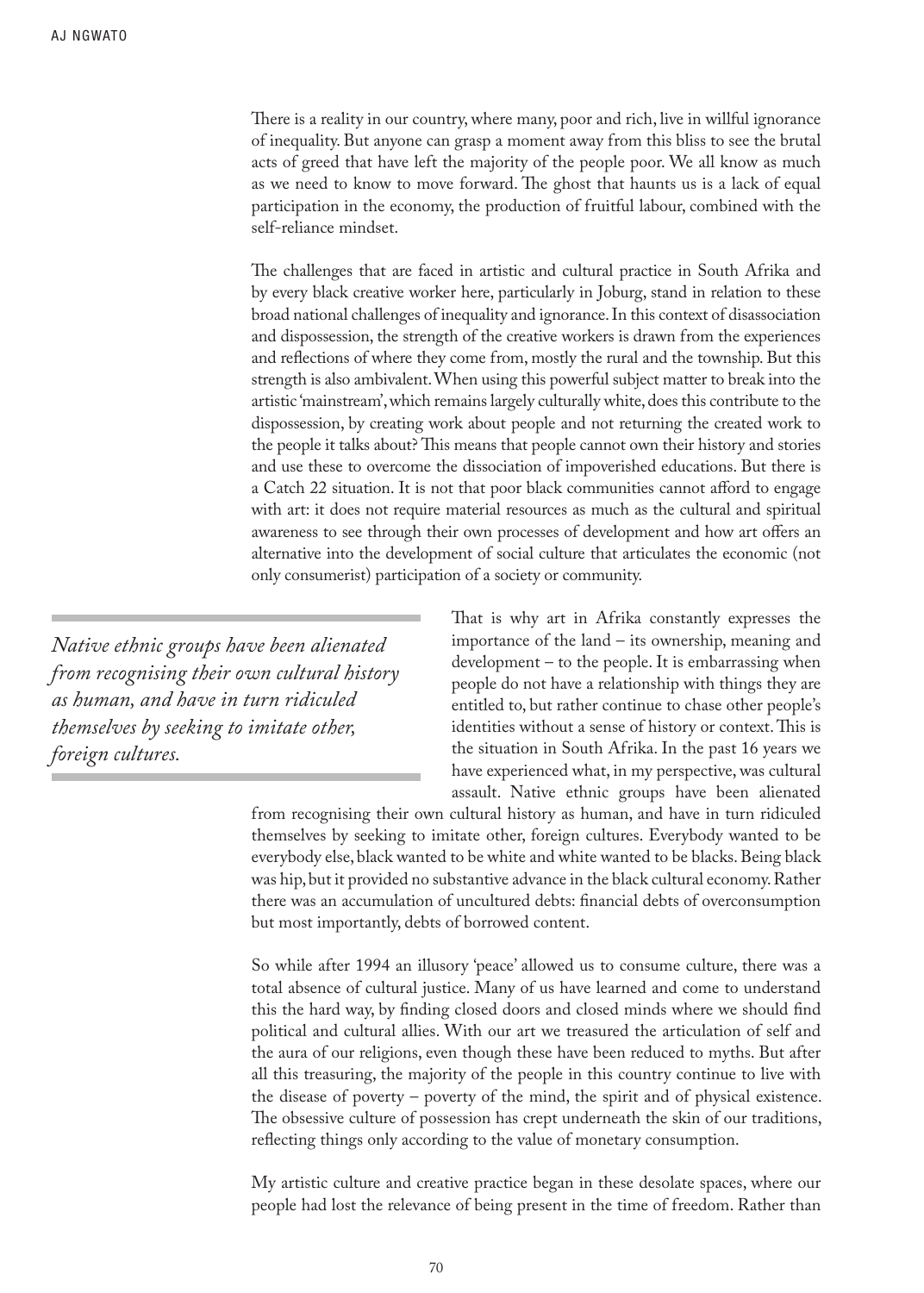There is a reality in our country, where many, poor and rich, live in willful ignorance of inequality. But anyone can grasp a moment away from this bliss to see the brutal acts of greed that have left the majority of the people poor. We all know as much as we need to know to move forward. The ghost that haunts us is a lack of equal participation in the economy, the production of fruitful labour, combined with the self-reliance mindset.

The challenges that are faced in artistic and cultural practice in South Afrika and by every black creative worker here, particularly in Joburg, stand in relation to these broad national challenges of inequality and ignorance. In this context of disassociation and dispossession, the strength of the creative workers is drawn from the experiences and reflections of where they come from, mostly the rural and the township. But this strength is also ambivalent. When using this powerful subject matter to break into the artistic 'mainstream', which remains largely culturally white, does this contribute to the dispossession, by creating work about people and not returning the created work to the people it talks about? This means that people cannot own their history and stories and use these to overcome the dissociation of impoverished educations. But there is a Catch 22 situation. It is not that poor black communities cannot afford to engage with art: it does not require material resources as much as the cultural and spiritual awareness to see through their own processes of development and how art offers an alternative into the development of social culture that articulates the economic (not only consumerist) participation of a society or community.

*Native ethnic groups have been alienated from recognising their own cultural history as human, and have in turn ridiculed themselves by seeking to imitate other, foreign cultures.* 

That is why art in Afrika constantly expresses the importance of the land – its ownership, meaning and development – to the people. It is embarrassing when people do not have a relationship with things they are entitled to, but rather continue to chase other people's identities without a sense of history or context. This is the situation in South Afrika. In the past 16 years we have experienced what, in my perspective, was cultural assault. Native ethnic groups have been alienated

from recognising their own cultural history as human, and have in turn ridiculed themselves by seeking to imitate other, foreign cultures. Everybody wanted to be everybody else, black wanted to be white and white wanted to be blacks. Being black was hip, but it provided no substantive advance in the black cultural economy. Rather there was an accumulation of uncultured debts: financial debts of overconsumption but most importantly, debts of borrowed content.

So while after 1994 an illusory 'peace' allowed us to consume culture, there was a total absence of cultural justice. Many of us have learned and come to understand this the hard way, by finding closed doors and closed minds where we should find political and cultural allies. With our art we treasured the articulation of self and the aura of our religions, even though these have been reduced to myths. But after all this treasuring, the majority of the people in this country continue to live with the disease of poverty – poverty of the mind, the spirit and of physical existence. The obsessive culture of possession has crept underneath the skin of our traditions, reflecting things only according to the value of monetary consumption.

My artistic culture and creative practice began in these desolate spaces, where our people had lost the relevance of being present in the time of freedom. Rather than